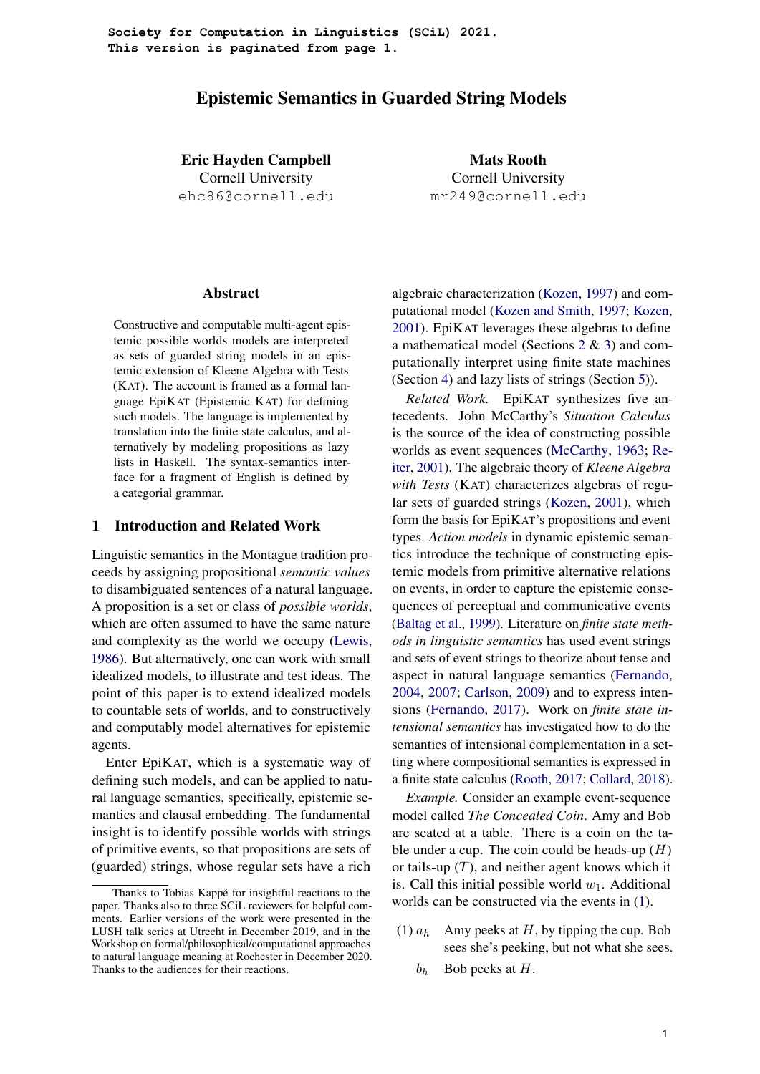**Society for Computation in Linguistics (SCiL) 2021. This version is paginated from page 1.**

# Epistemic Semantics in Guarded String Models

Eric Hayden Campbell Cornell University ehc86@cornell.edu

Abstract

Constructive and computable multi-agent epistemic possible worlds models are interpreted as sets of guarded string models in an epistemic extension of Kleene Algebra with Tests (KAT). The account is framed as a formal language EpiKAT (Epistemic KAT) for defining such models. The language is implemented by translation into the finite state calculus, and alternatively by modeling propositions as lazy lists in Haskell. The syntax-semantics interface for a fragment of English is defined by a categorial grammar.

# 1 Introduction and Related Work

Linguistic semantics in the Montague tradition proceeds by assigning propositional *semantic values* to disambiguated sentences of a natural language. A proposition is a set or class of *possible worlds*, which are often assumed to have the same nature and complexity as the world we occupy [\(Lewis,](#page-9-0) [1986\)](#page-9-0). But alternatively, one can work with small idealized models, to illustrate and test ideas. The point of this paper is to extend idealized models to countable sets of worlds, and to constructively and computably model alternatives for epistemic agents.

Enter EpiKAT, which is a systematic way of defining such models, and can be applied to natural language semantics, specifically, epistemic semantics and clausal embedding. The fundamental insight is to identify possible worlds with strings of primitive events, so that propositions are sets of (guarded) strings, whose regular sets have a rich

Mats Rooth Cornell University mr249@cornell.edu

algebraic characterization [\(Kozen,](#page-9-1) [1997\)](#page-9-1) and computational model [\(Kozen and Smith,](#page-9-2) [1997;](#page-9-2) [Kozen,](#page-9-3) [2001\)](#page-9-3). EpiKAT leverages these algebras to define a mathematical model (Sections [2](#page-2-0) & [3\)](#page-4-0) and computationally interpret using finite state machines (Section [4\)](#page-5-0) and lazy lists of strings (Section [5\)](#page-6-0)).

*Related Work.* EpiKAT synthesizes five antecedents. John McCarthy's *Situation Calculus* is the source of the idea of constructing possible worlds as event sequences [\(McCarthy,](#page-9-4) [1963;](#page-9-4) [Re](#page-9-5)[iter,](#page-9-5) [2001\)](#page-9-5). The algebraic theory of *Kleene Algebra with Tests* (KAT) characterizes algebras of regular sets of guarded strings [\(Kozen,](#page-9-3) [2001\)](#page-9-3), which form the basis for EpiKAT's propositions and event types. *Action models* in dynamic epistemic semantics introduce the technique of constructing epistemic models from primitive alternative relations on events, in order to capture the epistemic consequences of perceptual and communicative events [\(Baltag et al.,](#page-8-0) [1999\)](#page-8-0). Literature on *finite state methods in linguistic semantics* has used event strings and sets of event strings to theorize about tense and aspect in natural language semantics [\(Fernando,](#page-9-6) [2004,](#page-9-6) [2007;](#page-9-7) [Carlson,](#page-9-8) [2009\)](#page-9-8) and to express intensions [\(Fernando,](#page-9-9) [2017\)](#page-9-9). Work on *finite state intensional semantics* has investigated how to do the semantics of intensional complementation in a setting where compositional semantics is expressed in a finite state calculus [\(Rooth,](#page-9-10) [2017;](#page-9-10) [Collard,](#page-9-11) [2018\)](#page-9-11).

*Example.* Consider an example event-sequence model called *The Concealed Coin*. Amy and Bob are seated at a table. There is a coin on the table under a cup. The coin could be heads-up  $(H)$ or tails-up  $(T)$ , and neither agent knows which it is. Call this initial possible world  $w_1$ . Additional worlds can be constructed via the events in [\(1\)](#page-0-0).

- <span id="page-0-0"></span>(1)  $a<sub>b</sub>$  Amy peeks at H, by tipping the cup. Bob sees she's peeking, but not what she sees.
	- $b_h$  Bob peeks at H.

Thanks to Tobias Kappé for insightful reactions to the paper. Thanks also to three SCiL reviewers for helpful comments. Earlier versions of the work were presented in the LUSH talk series at Utrecht in December 2019, and in the Workshop on formal/philosophical/computational approaches to natural language meaning at Rochester in December 2020. Thanks to the audiences for their reactions.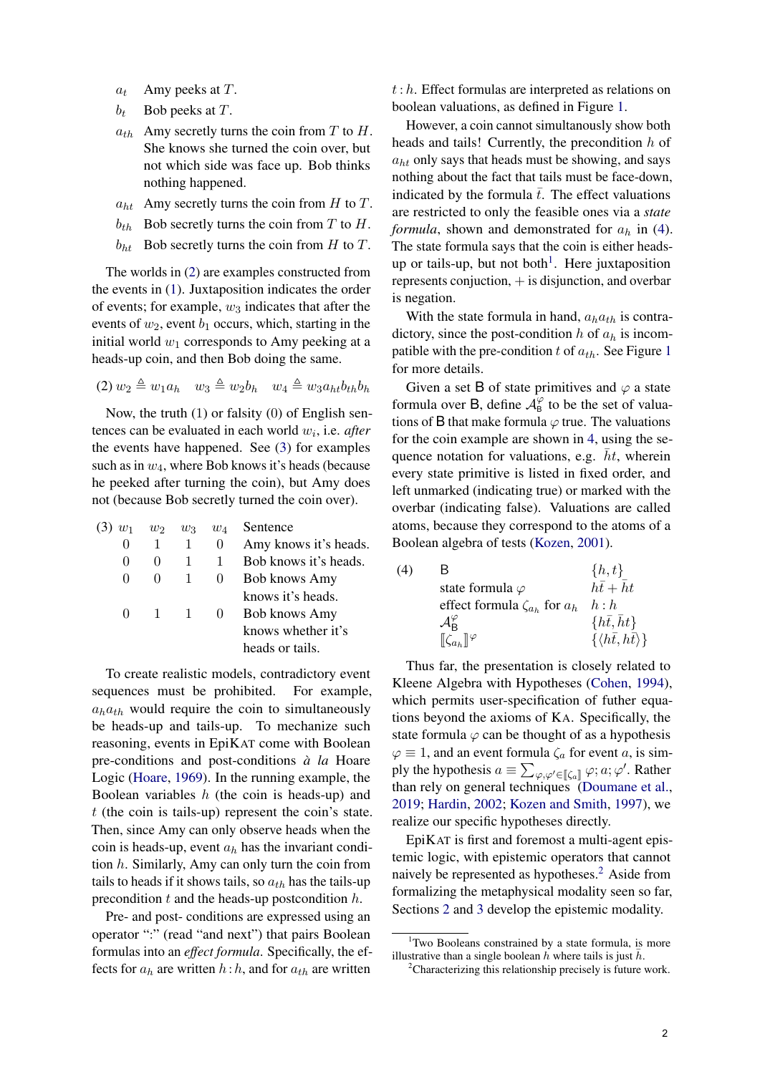- $a_t$  Amy peeks at T.
- $b_t$  Bob peeks at T.
- $a_{th}$  Amy secretly turns the coin from T to H. She knows she turned the coin over, but not which side was face up. Bob thinks nothing happened.
- $a_{ht}$  Amy secretly turns the coin from H to T.
- $b_{th}$  Bob secretly turns the coin from T to H.
- $b_{ht}$  Bob secretly turns the coin from H to T.

The worlds in [\(2\)](#page-1-0) are examples constructed from the events in [\(1\)](#page-0-0). Juxtaposition indicates the order of events; for example,  $w_3$  indicates that after the events of  $w_2$ , event  $b_1$  occurs, which, starting in the initial world  $w_1$  corresponds to Amy peeking at a heads-up coin, and then Bob doing the same.

<span id="page-1-0"></span>
$$
(2) w_2 \triangleq w_1 a_h \quad w_3 \triangleq w_2 b_h \quad w_4 \triangleq w_3 a_{ht} b_{th} b_h
$$

Now, the truth (1) or falsity (0) of English sentences can be evaluated in each world w<sup>i</sup> , i.e. *after* the events have happened. See [\(3\)](#page-1-1) for examples such as in  $w_4$ , where Bob knows it's heads (because he peeked after turning the coin), but Amy does not (because Bob secretly turned the coin over).

<span id="page-1-1"></span>

|              | $w_2$        | $w_3$ | $w_4$    | Sentence              |
|--------------|--------------|-------|----------|-----------------------|
| 0            |              | 1     | O        | Amy knows it's heads. |
| 0            |              | 1     |          | Bob knows it's heads. |
| $\mathbf{0}$ | $\mathbf{I}$ | 1     | $\theta$ | <b>Bob knows Amy</b>  |
|              |              |       |          | knows it's heads.     |
| $\mathbf{0}$ |              |       | $\cup$   | <b>Bob knows Amy</b>  |
|              |              |       |          | knows whether it's    |
|              |              |       |          | heads or tails.       |

To create realistic models, contradictory event sequences must be prohibited. For example,  $a<sub>h</sub>a<sub>th</sub>$  would require the coin to simultaneously be heads-up and tails-up. To mechanize such reasoning, events in EpiKAT come with Boolean pre-conditions and post-conditions  $\dot{a}$  *la* Hoare Logic [\(Hoare,](#page-9-12) [1969\)](#page-9-12). In the running example, the Boolean variables  $h$  (the coin is heads-up) and  $t$  (the coin is tails-up) represent the coin's state. Then, since Amy can only observe heads when the coin is heads-up, event  $a<sub>h</sub>$  has the invariant condition  $h$ . Similarly, Amy can only turn the coin from tails to heads if it shows tails, so  $a_{th}$  has the tails-up precondition  $t$  and the heads-up postcondition  $h$ .

Pre- and post- conditions are expressed using an operator ":" (read "and next") that pairs Boolean formulas into an *effect formula*. Specifically, the effects for  $a_h$  are written  $h : h$ , and for  $a_{th}$  are written

 $t: h$ . Effect formulas are interpreted as relations on boolean valuations, as defined in Figure [1.](#page-2-1)

However, a coin cannot simultanously show both heads and tails! Currently, the precondition h of  $a_{ht}$  only says that heads must be showing, and says nothing about the fact that tails must be face-down, indicated by the formula  $\bar{t}$ . The effect valuations are restricted to only the feasible ones via a *state formula*, shown and demonstrated for  $a_h$  in [\(4\)](#page-1-2). The state formula says that the coin is either heads-up or tails-up, but not both<sup>[1](#page-1-3)</sup>. Here juxtaposition represents conjuction,  $+$  is disjunction, and overbar is negation.

With the state formula in hand,  $a_h a_{th}$  is contradictory, since the post-condition h of  $a_h$  is incompatible with the pre-condition t of  $a_{th}$ . See Figure [1](#page-2-1) for more details.

Given a set B of state primitives and  $\varphi$  a state formula over B, define  $\mathcal{A}_{\text{B}}^{\varphi}$  to be the set of valuations of B that make formula  $\varphi$  true. The valuations for the coin example are shown in [4,](#page-1-2) using the sequence notation for valuations, e.g.  $\bar{h}t$ , wherein every state primitive is listed in fixed order, and left unmarked (indicating true) or marked with the overbar (indicating false). Valuations are called atoms, because they correspond to the atoms of a Boolean algebra of tests [\(Kozen,](#page-9-3) [2001\)](#page-9-3).

<span id="page-1-2"></span>

| (4) | B                                           | $\{h,t\}$                              |
|-----|---------------------------------------------|----------------------------------------|
|     | state formula $\varphi$                     | $h\bar{t}+\bar{h}t$                    |
|     | effect formula $\zeta_{a_h}$ for $a_h$      | h : h                                  |
|     | $\mathcal{A}^{\varphi}_{\mathsf{R}}$        | $\{\bar{h}\bar{t}, \bar{h}t\}$         |
|     | $\llbracket \zeta_{a_h} \rrbracket^\varphi$ | $\{\langle h\bar{t},h\bar{t}\rangle\}$ |
|     |                                             |                                        |

Thus far, the presentation is closely related to Kleene Algebra with Hypotheses [\(Cohen,](#page-9-13) [1994\)](#page-9-13), which permits user-specification of futher equations beyond the axioms of KA. Specifically, the state formula  $\varphi$  can be thought of as a hypothesis  $\varphi \equiv 1$ , and an event formula  $\zeta_a$  for event a, is simply the hypothesis  $a \equiv \sum_{\varphi, \varphi' \in [\![} \xi_a \Vert \varphi; a; \varphi'$ . Rather than rely on general techniques [\(Doumane et al.,](#page-9-14) [2019;](#page-9-14) [Hardin,](#page-9-15) [2002;](#page-9-15) [Kozen and Smith,](#page-9-2) [1997\)](#page-9-2), we realize our specific hypotheses directly.

EpiKAT is first and foremost a multi-agent epistemic logic, with epistemic operators that cannot naively be represented as hypotheses.<sup>[2](#page-1-4)</sup> Aside from formalizing the metaphysical modality seen so far, Sections [2](#page-2-0) and [3](#page-4-0) develop the epistemic modality.

<span id="page-1-3"></span> $1$ Two Booleans constrained by a state formula, is more illustrative than a single boolean h where tails is just  $\bar{h}$ .

<span id="page-1-4"></span><sup>&</sup>lt;sup>2</sup>Characterizing this relationship precisely is future work.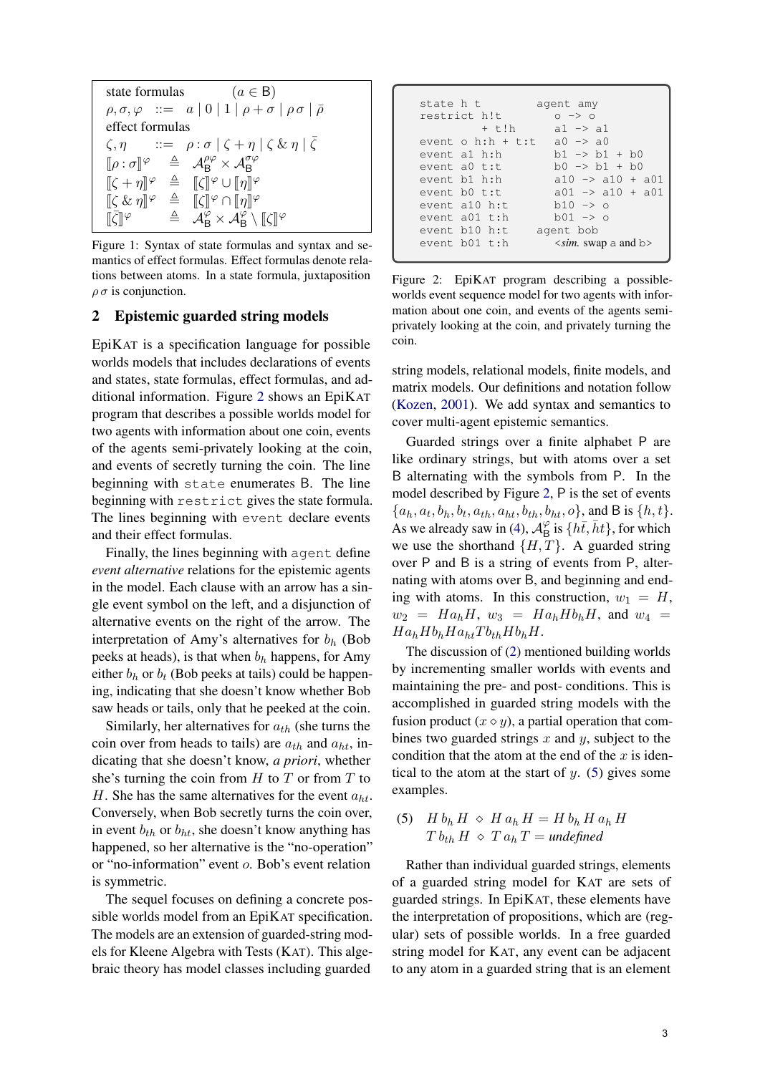```
state formulas (a \in B)\rho, \sigma, \varphi \ ::= a | 0 | 1 | \rho + \sigma | \rho \sigma | \bar{\rho}effect formulas
 \zeta, \eta ::= \rho : \sigma | \zeta + \eta | \zeta \& \eta | \bar{\zeta}\llbracket \rho : \sigma \rrbracket^\varphi\varphi \triangleq \mathcal{A}_{\mathsf{B}}^{\rho\varphi} \times \mathcal{A}_{\mathsf{B}}^{\sigma\varphi}\begin{array}{rcl}\n[\zeta + \eta]^{\varphi} & \triangleq & [\zeta]^{\varphi} \cup [\eta]^{\varphi} \\
\mathbb{I} \zeta \circ \mathbb{I} \circ \mathbb{I}^{\varphi} & \triangleq & \mathbb{I} \zeta \mathbb{I}^{\varphi} \odot \mathbb{I}^{\varphi} \mathbb{I}^{\varphi}\n\end{array}\begin{array}{rcl}\n[\zeta & \& \eta\n\end{array} \begin{array}{rcl}\n\infty & \xrightarrow{\alpha} & \[\zeta\] \varphi & \cap \[\eta\] \varphi \\
\pi & \xrightarrow{\alpha} & \xrightarrow{\alpha} & \xrightarrow{\alpha} & \xrightarrow{\alpha}\n\end{array}\bar{\left[\zeta\right]}\varphi \quad \triangleq \quad \mathcal{A}_{\mathsf{B}}^{\varphi} \times \mathcal{A}_{\mathsf{B}}^{\varphi} \setminus [\![\zeta]\!]^{\varphi}
```
Figure 1: Syntax of state formulas and syntax and semantics of effect formulas. Effect formulas denote relations between atoms. In a state formula, juxtaposition  $\rho \sigma$  is conjunction.

## <span id="page-2-0"></span>2 Epistemic guarded string models

EpiKAT is a specification language for possible worlds models that includes declarations of events and states, state formulas, effect formulas, and additional information. Figure [2](#page-2-2) shows an EpiKAT program that describes a possible worlds model for two agents with information about one coin, events of the agents semi-privately looking at the coin, and events of secretly turning the coin. The line beginning with state enumerates B. The line beginning with restrict gives the state formula. The lines beginning with event declare events and their effect formulas.

Finally, the lines beginning with agent define *event alternative* relations for the epistemic agents in the model. Each clause with an arrow has a single event symbol on the left, and a disjunction of alternative events on the right of the arrow. The interpretation of Amy's alternatives for  $b<sub>h</sub>$  (Bob peeks at heads), is that when  $b_h$  happens, for Amy either  $b_h$  or  $b_t$  (Bob peeks at tails) could be happening, indicating that she doesn't know whether Bob saw heads or tails, only that he peeked at the coin.

Similarly, her alternatives for  $a_{th}$  (she turns the coin over from heads to tails) are  $a_{th}$  and  $a_{ht}$ , indicating that she doesn't know, *a priori*, whether she's turning the coin from  $H$  to  $T$  or from  $T$  to H. She has the same alternatives for the event  $a_{ht}$ . Conversely, when Bob secretly turns the coin over, in event  $b_{th}$  or  $b_{ht}$ , she doesn't know anything has happened, so her alternative is the "no-operation" or "no-information" event o. Bob's event relation is symmetric.

The sequel focuses on defining a concrete possible worlds model from an EpiKAT specification. The models are an extension of guarded-string models for Kleene Algebra with Tests (KAT). This algebraic theory has model classes including guarded

<span id="page-2-2"></span>

| state h t |                     | agent amy                   |
|-----------|---------------------|-----------------------------|
|           | restrict h!t        | $0 \rightarrow 0$           |
|           | $+$ t!h             | $a1 \rightarrow a1$         |
|           | event $o$ h:h + t:t | $a0 \rightarrow a0$         |
|           | event al h:h        | $h1 \rightarrow h1 + h0$    |
|           | event $a0$ t:t      | $b0 \rightarrow b1 + b0$    |
|           | event b1 h:h        | $a10 \rightarrow a10 + a01$ |
|           | event b0 t:t        | $a01 \rightarrow a10 + a01$ |
|           | event a10 h:t       | $b10 \rightarrow o$         |
|           | event a01 t:h       | $b01 \rightarrow o$         |
|           | event b10 h:t       | agent bob                   |
|           | event $b01$ t:h     | $\leq$ sim. swap a and b>   |
|           |                     |                             |

Figure 2: EpiKAT program describing a possibleworlds event sequence model for two agents with information about one coin, and events of the agents semiprivately looking at the coin, and privately turning the coin.

string models, relational models, finite models, and matrix models. Our definitions and notation follow [\(Kozen,](#page-9-3) [2001\)](#page-9-3). We add syntax and semantics to cover multi-agent epistemic semantics.

Guarded strings over a finite alphabet P are like ordinary strings, but with atoms over a set B alternating with the symbols from P. In the model described by Figure [2,](#page-2-2) P is the set of events  $\{a_h, a_t, b_h, b_t, a_{th}, a_{ht}, b_{th}, b_{ht}, o\}$ , and B is  $\{h, t\}$ . As we already saw in [\(4\)](#page-1-2),  $\mathcal{A}_{\text{B}}^{\varphi}$  $\frac{\varphi}{\mathsf{B}}$  is  $\{\overline{h}\bar{t}, \overline{h}t\}$ , for which we use the shorthand  $\{H, T\}$ . A guarded string over P and B is a string of events from P, alternating with atoms over B, and beginning and ending with atoms. In this construction,  $w_1 = H$ ,  $w_2 = Ha_h H$ ,  $w_3 = Ha_h H b_h H$ , and  $w_4 =$  $Ha_hHb_hHa_{ht}Tb_{th}Hb_hH.$ 

The discussion of [\(2\)](#page-1-0) mentioned building worlds by incrementing smaller worlds with events and maintaining the pre- and post- conditions. This is accomplished in guarded string models with the fusion product  $(x \diamond y)$ , a partial operation that combines two guarded strings  $x$  and  $y$ , subject to the condition that the atom at the end of the  $x$  is identical to the atom at the start of  $y$ . [\(5\)](#page-2-3) gives some examples.

<span id="page-2-3"></span>(5) 
$$
H b_h H \diamond H a_h H = H b_h H a_h H
$$
  
\n $T b_{th} H \diamond T a_h T = \text{undefined}$ 

Rather than individual guarded strings, elements of a guarded string model for KAT are sets of guarded strings. In EpiKAT, these elements have the interpretation of propositions, which are (regular) sets of possible worlds. In a free guarded string model for KAT, any event can be adjacent to any atom in a guarded string that is an element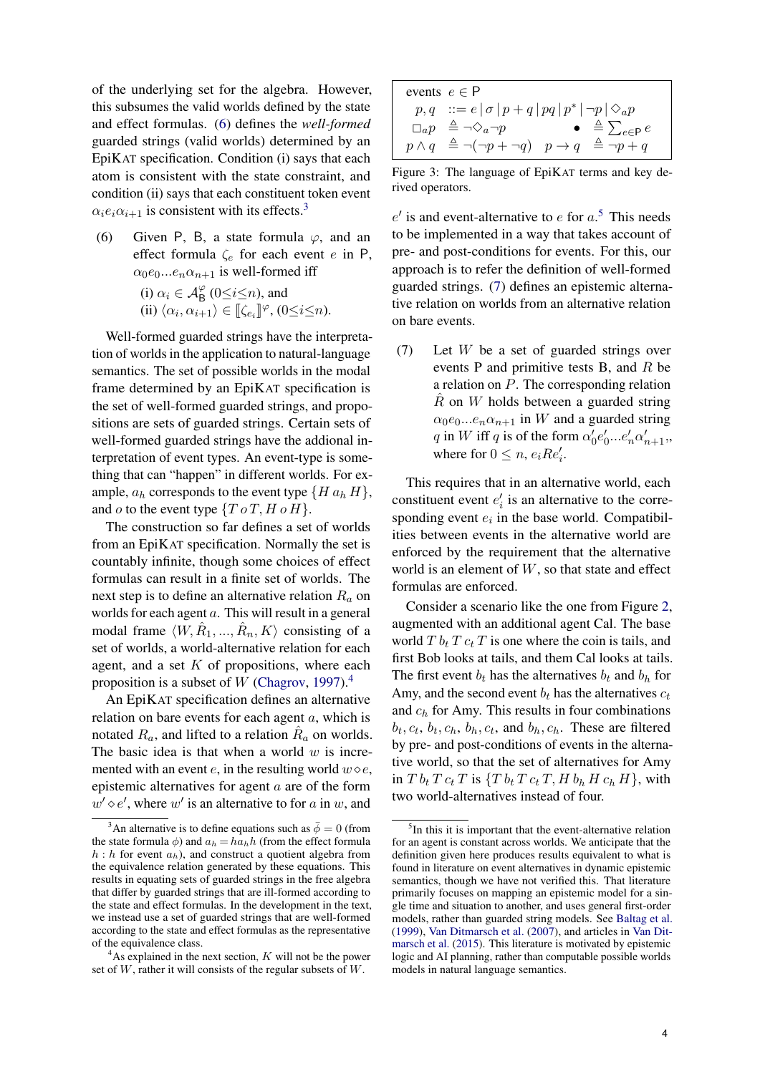of the underlying set for the algebra. However, this subsumes the valid worlds defined by the state and effect formulas. [\(6\)](#page-3-0) defines the *well-formed* guarded strings (valid worlds) determined by an EpiKAT specification. Condition (i) says that each atom is consistent with the state constraint, and condition (ii) says that each constituent token event  $\alpha_i e_i \alpha_{i+1}$  is consistent with its effects.<sup>[3](#page-3-1)</sup>

<span id="page-3-0"></span>(6) Given P, B, a state formula  $\varphi$ , and an effect formula  $\zeta_e$  for each event e in P,  $\alpha_0e_0...e_n\alpha_{n+1}$  is well-formed iff

> (i)  $\alpha_i \in \mathcal{A}_{\mathsf{B}}^{\varphi}$  ( $0 \leq i \leq n$ ), and (ii)  $\langle \alpha_i, \alpha_{i+1} \rangle \in [\![\zeta_{e_i}]\!]^\varphi$ ,  $(0 \le i \le n)$ .

Well-formed guarded strings have the interpretation of worlds in the application to natural-language semantics. The set of possible worlds in the modal frame determined by an EpiKAT specification is the set of well-formed guarded strings, and propositions are sets of guarded strings. Certain sets of well-formed guarded strings have the addional interpretation of event types. An event-type is something that can "happen" in different worlds. For example,  $a_h$  corresponds to the event type  $\{H\,a_h\,H\},\$ and o to the event type  $\{T \circ T, H \circ H\}.$ 

The construction so far defines a set of worlds from an EpiKAT specification. Normally the set is countably infinite, though some choices of effect formulas can result in a finite set of worlds. The next step is to define an alternative relation  $R_a$  on worlds for each agent a. This will result in a general modal frame  $\langle W, \hat{R}_1, ..., \hat{R}_n, K \rangle$  consisting of a set of worlds, a world-alternative relation for each agent, and a set  $K$  of propositions, where each proposition is a subset of W [\(Chagrov,](#page-9-16) [1997\)](#page-9-16).<sup>[4](#page-3-2)</sup>

An EpiKAT specification defines an alternative relation on bare events for each agent  $a$ , which is notated  $R_a$ , and lifted to a relation  $\hat{R}_a$  on worlds. The basic idea is that when a world  $w$  is incremented with an event e, in the resulting world  $w \diamond e$ , epistemic alternatives for agent a are of the form  $w' \diamond e'$ , where w' is an alternative to for a in w, and

<span id="page-3-5"></span>

| events $e \in P$                                                                                                |
|-----------------------------------------------------------------------------------------------------------------|
| $p,q ::= e   \sigma   p + q   pq   p^*   \neg p   \Diamond_a p$                                                 |
| $\Box_a p \stackrel{\Delta}{=} \neg \Diamond_a \neg p$ $\bullet \stackrel{\Delta}{=} \sum_{e \in \mathsf{P}} e$ |
| $p \wedge q \stackrel{\Delta}{=} \neg(\neg p + \neg q)$ $p \rightarrow q \stackrel{\Delta}{=} \neg p + q$       |

Figure 3: The language of EpiKAT terms and key derived operators.

 $e'$  is and event-alternative to  $e$  for  $a$ <sup>[5](#page-3-3)</sup>. This needs to be implemented in a way that takes account of pre- and post-conditions for events. For this, our approach is to refer the definition of well-formed guarded strings. [\(7\)](#page-3-4) defines an epistemic alternative relation on worlds from an alternative relation on bare events.

<span id="page-3-4"></span>(7) Let W be a set of guarded strings over events P and primitive tests B, and R be a relation on P. The corresponding relation  $\hat{R}$  on W holds between a guarded string  $\alpha_0e_0...e_n\alpha_{n+1}$  in W and a guarded string q in W iff q is of the form  $\alpha'_0e'_0...e'_n\alpha'_{n+1}$ , where for  $0 \leq n, e_i Re'_i$ .

This requires that in an alternative world, each constituent event  $e'_i$  is an alternative to the corresponding event  $e_i$  in the base world. Compatibilities between events in the alternative world are enforced by the requirement that the alternative world is an element of  $W$ , so that state and effect formulas are enforced.

Consider a scenario like the one from Figure [2,](#page-2-2) augmented with an additional agent Cal. The base world  $T b_t T c_t T$  is one where the coin is tails, and first Bob looks at tails, and them Cal looks at tails. The first event  $b_t$  has the alternatives  $b_t$  and  $b_h$  for Amy, and the second event  $b_t$  has the alternatives  $c_t$ and  $c_h$  for Amy. This results in four combinations  $b_t, c_t, b_t, c_h, b_h, c_t$ , and  $b_h, c_h$ . These are filtered by pre- and post-conditions of events in the alternative world, so that the set of alternatives for Amy in  $T b_t T c_t T$  is  $\{T b_t T c_t T, H b_h H c_h H\}$ , with two world-alternatives instead of four.

<span id="page-3-1"></span><sup>&</sup>lt;sup>3</sup>An alternative is to define equations such as  $\bar{\phi} = 0$  (from the state formula  $\phi$ ) and  $a_h = h a_h h$  (from the effect formula  $h : h$  for event  $a_h$ ), and construct a quotient algebra from the equivalence relation generated by these equations. This results in equating sets of guarded strings in the free algebra that differ by guarded strings that are ill-formed according to the state and effect formulas. In the development in the text, we instead use a set of guarded strings that are well-formed according to the state and effect formulas as the representative of the equivalence class.

<span id="page-3-2"></span> $A<sup>4</sup>$ As explained in the next section, K will not be the power set of  $W$ , rather it will consists of the regular subsets of  $W$ .

<span id="page-3-3"></span><sup>&</sup>lt;sup>5</sup>In this it is important that the event-alternative relation for an agent is constant across worlds. We anticipate that the definition given here produces results equivalent to what is found in literature on event alternatives in dynamic epistemic semantics, though we have not verified this. That literature primarily focuses on mapping an epistemic model for a single time and situation to another, and uses general first-order models, rather than guarded string models. See [Baltag et al.](#page-8-0) [\(1999\)](#page-8-0), [Van Ditmarsch et al.](#page-9-17) [\(2007\)](#page-9-17), and articles in [Van Dit](#page-9-18)[marsch et al.](#page-9-18) [\(2015\)](#page-9-18). This literature is motivated by epistemic logic and AI planning, rather than computable possible worlds models in natural language semantics.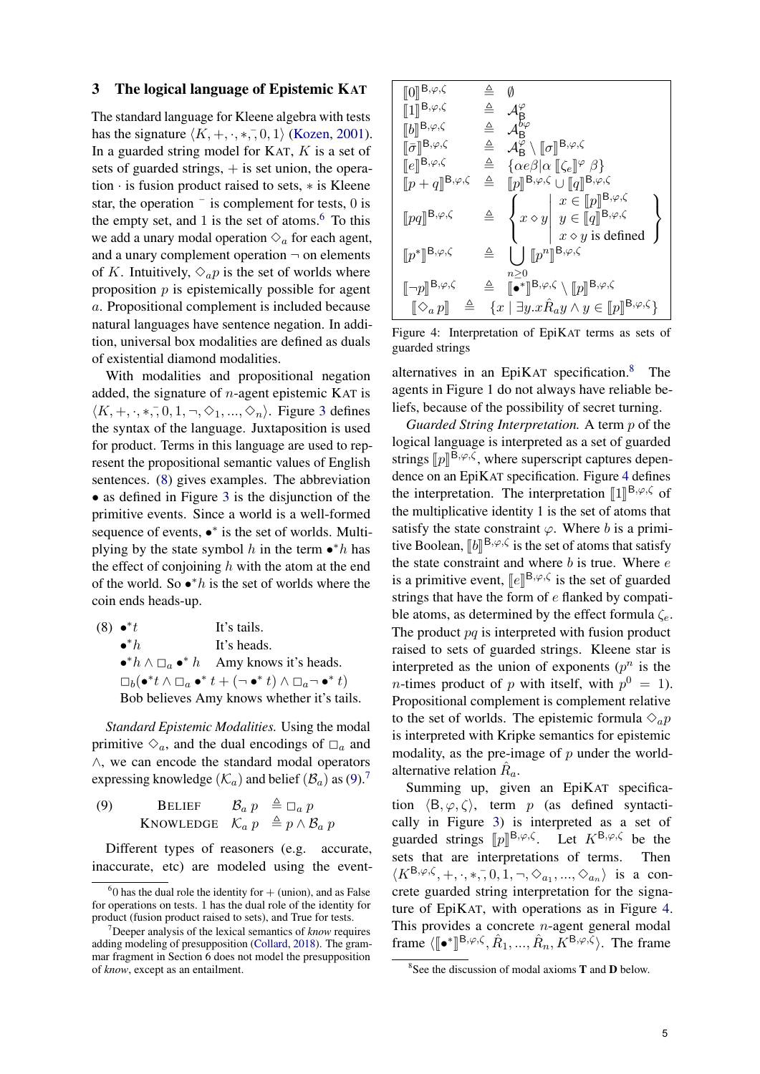### <span id="page-4-0"></span>3 The logical language of Epistemic KAT

The standard language for Kleene algebra with tests has the signature  $\langle K, +, \cdot, *, \cdot, 0, 1 \rangle$  [\(Kozen,](#page-9-3) [2001\)](#page-9-3). In a guarded string model for KAT,  $K$  is a set of sets of guarded strings,  $+$  is set union, the operation · is fusion product raised to sets, ∗ is Kleene star, the operation  $\overline{\phantom{a}}$  is complement for tests, 0 is the empty set, and 1 is the set of atoms. $<sup>6</sup>$  $<sup>6</sup>$  $<sup>6</sup>$  To this</sup> we add a unary modal operation  $\Diamond_a$  for each agent, and a unary complement operation  $\neg$  on elements of K. Intuitively,  $\Diamond_a p$  is the set of worlds where proposition  $p$  is epistemically possible for agent a. Propositional complement is included because natural languages have sentence negation. In addition, universal box modalities are defined as duals of existential diamond modalities.

With modalities and propositional negation added, the signature of  $n$ -agent epistemic KAT is  $\langle K, +, \cdot, *, \cdot, 0, 1, \neg, \Diamond_1, ..., \Diamond_n \rangle$ . Figure [3](#page-3-5) defines the syntax of the language. Juxtaposition is used for product. Terms in this language are used to represent the propositional semantic values of English sentences. [\(8\)](#page-4-2) gives examples. The abbreviation • as defined in Figure [3](#page-3-5) is the disjunction of the primitive events. Since a world is a well-formed sequence of events, •\* is the set of worlds. Multiplying by the state symbol h in the term  $\bullet^* h$  has the effect of conjoining  $h$  with the atom at the end of the world. So  $\bullet^*h$  is the set of worlds where the coin ends heads-up.

<span id="page-4-2"></span>

| $(8) \bullet^*t$ | It's tails.                                                                           |
|------------------|---------------------------------------------------------------------------------------|
| $\bullet^*h$     | It's heads.                                                                           |
|                  | $\bullet^* h \wedge \Box_a \bullet^* h$ Amy knows it's heads.                         |
|                  | $\Box_b(\bullet^*t\wedge\Box_a\bullet^*t+(\neg\bullet^*t)\wedge\Box_a\neg\bullet^*t)$ |
|                  | Bob believes Amy knows whether it's tails.                                            |

*Standard Epistemic Modalities.* Using the modal primitive  $\Diamond_a$ , and the dual encodings of  $\Box_a$  and ∧, we can encode the standard modal operators expressing knowledge  $(\mathcal{K}_a)$  and belief  $(\mathcal{B}_a)$  as [\(9\)](#page-4-3).<sup>[7](#page-4-4)</sup>

<span id="page-4-3"></span>(9) BELIEF  $\mathcal{B}_a p \triangleq \Box_a p$ KNOWLEDGE  $\mathcal{K}_a p \triangleq p \wedge \mathcal{B}_a p$ 

Different types of reasoners (e.g. accurate, inaccurate, etc) are modeled using the event-

<span id="page-4-6"></span>

| $\llbracket 0 \rrbracket^{\mathsf{B},\varphi,\zeta}$            | ≜            | Ø                                                                                                                                                                                                                            |
|-----------------------------------------------------------------|--------------|------------------------------------------------------------------------------------------------------------------------------------------------------------------------------------------------------------------------------|
| $\llbracket 1 \rrbracket^{\mathsf{B},\varphi,\zeta}$            | $\triangleq$ | $\mathcal{A}^{\varphi}_{\mathsf{B}}$                                                                                                                                                                                         |
| $[[b]]^{\mathsf{B},\varphi,\zeta}$                              | $\triangleq$ | $\mathcal{A}^{b\varphi}_{\mathsf{R}}$                                                                                                                                                                                        |
| $\llbracket \bar{\sigma} \rrbracket^{\mathsf{B},\varphi,\zeta}$ | $\triangleq$ | $\mathcal{A}_{\mathsf{B}}^{\varphi} \setminus [\![\sigma]\!]^{\mathsf{B},\varphi,\zeta}$                                                                                                                                     |
| $[e]^{\mathsf{B},\varphi,\zeta}$                                |              | $\triangleq \{\alpha e \beta   \alpha [\![\zeta_e]\!]^\varphi \beta\}$                                                                                                                                                       |
| $[ p + q ]^{\mathsf{B},\varphi,\zeta}$                          | $\triangleq$ | $\llbracket p \rrbracket^{\mathsf{B},\varphi,\zeta} \cup \llbracket q \rrbracket^{\mathsf{B},\varphi,\zeta}$                                                                                                                 |
| $[pq]$ <sup>B,<math>\varphi</math>,<math>\zeta</math></sup>     | $\triangleq$ | $\left\{ x \diamond y \middle  \begin{array}{l} x \in \llbracket p \rrbracket^{\mathsf{B},\varphi,\zeta} \\ y \in \llbracket q \rrbracket^{\mathsf{B},\varphi,\zeta} \\ x \diamond y \text{ is defined} \end{array} \right.$ |
| $\llbracket p^\ast \rrbracket^{\mathbf{B},\varphi,\zeta}$       | ≜            | $\bigcup_{n\in\mathbb{N}}[p^n]^{B,\varphi,\zeta}$                                                                                                                                                                            |
| $\llbracket \neg p \rrbracket^{\mathsf{B},\varphi,\zeta}$       |              | n>0<br>$\triangleq$ $\mathbb{R}^* \mathbb{R}^{B,\varphi,\zeta} \setminus \llbracket p \rrbracket^{B,\varphi,\zeta}$                                                                                                          |
| $\triangleq$<br>$\ \Diamond_a p\ $                              |              | $\{x \mid \exists y . x \hat{R}_a y \land y \in [p]^{\mathsf{B},\varphi,\zeta}\}$                                                                                                                                            |

Figure 4: Interpretation of EpiKAT terms as sets of guarded strings

alternatives in an EpiKAT specification.[8](#page-4-5) The agents in Figure 1 do not always have reliable beliefs, because of the possibility of secret turning.

*Guarded String Interpretation.* A term p of the logical language is interpreted as a set of guarded strings  $[p]^{\mathbf{B},\varphi,\zeta}$ , where superscript captures depen-<br>dange on an Eni $K_{\lambda}$ T aposification. Figure 4 defines dence on an EpiKAT specification. Figure [4](#page-4-6) defines the interpretation. The interpretation  $\llbracket 1 \rrbracket^{\mathsf{B},\varphi,\zeta}$  of the multiplicative identity 1 is the set of atoms that the multiplicative identity 1 is the set of atoms that satisfy the state constraint  $\varphi$ . Where b is a primitive Boolean,  $[[b]]^{B,\varphi,\zeta}$  is the set of atoms that satisfy<br>the state constraint and where h is true. Where  $\zeta$ the state constraint and where  $b$  is true. Where  $e$ is a primitive event,  $[[e]]^{B,\varphi,\zeta}$  is the set of guarded<br>strings that have the form of a flanked by compati strings that have the form of e flanked by compatible atoms, as determined by the effect formula  $\zeta_e$ . The product  $pq$  is interpreted with fusion product raised to sets of guarded strings. Kleene star is interpreted as the union of exponents  $(p^n)$  is the *n*-times product of p with itself, with  $p^0 = 1$ . Propositional complement is complement relative to the set of worlds. The epistemic formula  $\Diamond_a p$ is interpreted with Kripke semantics for epistemic modality, as the pre-image of  $p$  under the worldalternative relation  $\hat{R}_a$ .

Summing up, given an EpiKAT specification  $\langle B, \varphi, \zeta \rangle$ , term p (as defined syntactically in Figure [3\)](#page-3-5) is interpreted as a set of guarded strings  $[p]^{B,\varphi,\zeta}$ . Let  $K^{B,\varphi,\zeta}$  be the sets that are interpretations of terms. Then  $\langle K^{\mathsf{B},\varphi,\zeta},+,\cdot,*,\overline{0},1,\neg,\Diamond_{a_1},...,\Diamond_{a_n} \rangle$  is a concrete guarded string interpretation for the signature of EpiKAT, with operations as in Figure [4.](#page-4-6) This provides a concrete  $n$ -agent general modal frame  $\langle [\bullet^*]$ l<br>L  $B, \varphi, \zeta, \hat{R}_1, ..., \hat{R}_n, K^{B, \varphi, \zeta}$ . The frame

<span id="page-4-1"></span> $60$  has the dual role the identity for  $+$  (union), and as False for operations on tests. 1 has the dual role of the identity for product (fusion product raised to sets), and True for tests.

<span id="page-4-4"></span><sup>7</sup>Deeper analysis of the lexical semantics of *know* requires adding modeling of presupposition [\(Collard,](#page-9-11) [2018\)](#page-9-11). The grammar fragment in Section 6 does not model the presupposition of *know*, except as an entailment.

<span id="page-4-5"></span><sup>&</sup>lt;sup>8</sup> See the discussion of modal axioms  $T$  and  $D$  below.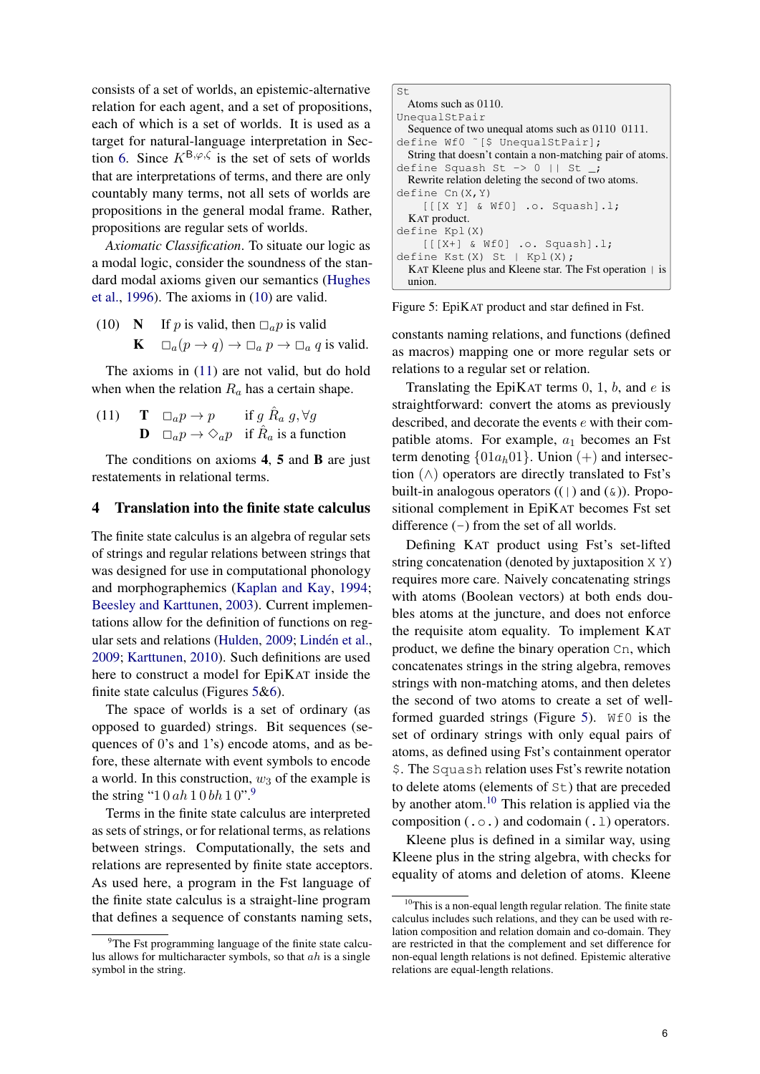consists of a set of worlds, an epistemic-alternative relation for each agent, and a set of propositions, each of which is a set of worlds. It is used as a target for natural-language interpretation in Sec-tion [6.](#page-6-1) Since  $K^{\mathsf{B},\varphi,\zeta}$  is the set of sets of worlds that are interpretations of terms, and there are only countably many terms, not all sets of worlds are propositions in the general modal frame. Rather, propositions are regular sets of worlds.

*Axiomatic Classification*. To situate our logic as a modal logic, consider the soundness of the standard modal axioms given our semantics [\(Hughes](#page-9-19) [et al.,](#page-9-19) [1996\)](#page-9-19). The axioms in [\(10\)](#page-5-1) are valid.

<span id="page-5-1"></span>(10) N If p is valid, then  $\Box_a p$  is valid<br>  $\mathbf{K} \quad \Box_a (n \to a) \to \Box_a n \to \Box_a a$  $\Box_a(p \to q) \to \Box_a p \to \Box_a q$  is valid.

The axioms in [\(11\)](#page-5-2) are not valid, but do hold when when the relation  $R_a$  has a certain shape.

<span id="page-5-2"></span>(11)  $\mathbf{T} \square_a p \rightarrow p$  if  $g \hat{R}_a g, \forall g$ **D**  $\Box_a p \rightarrow \Diamond_a p$  if  $\hat{R}_a$  is a function

The conditions on axioms 4, 5 and B are just restatements in relational terms.

#### <span id="page-5-0"></span>4 Translation into the finite state calculus

The finite state calculus is an algebra of regular sets of strings and regular relations between strings that was designed for use in computational phonology and morphographemics [\(Kaplan and Kay,](#page-9-20) [1994;](#page-9-20) [Beesley and Karttunen,](#page-9-21) [2003\)](#page-9-21). Current implementations allow for the definition of functions on reg-ular sets and relations [\(Hulden,](#page-9-22) [2009;](#page-9-22) Lindén et al., [2009;](#page-9-23) [Karttunen,](#page-9-24) [2010\)](#page-9-24). Such definitions are used here to construct a model for EpiKAT inside the finite state calculus (Figures [5](#page-5-3)[&6\)](#page-6-2).

The space of worlds is a set of ordinary (as opposed to guarded) strings. Bit sequences (sequences of 0's and 1's) encode atoms, and as before, these alternate with event symbols to encode a world. In this construction,  $w_3$  of the example is the string "1 0 ah 1 0 bh 1 0".<sup>[9](#page-5-4)</sup>

Terms in the finite state calculus are interpreted as sets of strings, or for relational terms, as relations between strings. Computationally, the sets and relations are represented by finite state acceptors. As used here, a program in the Fst language of the finite state calculus is a straight-line program that defines a sequence of constants naming sets,

```
S<sub>+</sub>Atoms such as 0110.
UnequalStPair
 Sequence of two unequal atoms such as 0110 0111.
define Wf0 ~[$ UnequalStPair];
 String that doesn't contain a non-matching pair of atoms.
define Squash St -> 0 || St _;
 Rewrite relation deleting the second of two atoms.
define Cn(X, Y)[[[X Y] & Wf0] .o. Squash].l;
  KAT product.
define Kpl(X)
    [[[X+] & Wf0] .o. Squash].l;
define Kst(X) St | Kpl(X);
 KAT Kleene plus and Kleene star. The Fst operation | is
  union.
```
Figure 5: EpiKAT product and star defined in Fst.

constants naming relations, and functions (defined as macros) mapping one or more regular sets or relations to a regular set or relation.

Translating the EpiKAT terms  $0, 1, b$ , and  $e$  is straightforward: convert the atoms as previously described, and decorate the events e with their compatible atoms. For example,  $a_1$  becomes an Fst term denoting  $\{01a_h01\}$ . Union (+) and intersection  $(\wedge)$  operators are directly translated to Fst's built-in analogous operators  $((\cdot)$  and  $(\&))$ . Propositional complement in EpiKAT becomes Fst set difference  $(-)$  from the set of all worlds.

Defining KAT product using Fst's set-lifted string concatenation (denoted by juxtaposition X Y) requires more care. Naively concatenating strings with atoms (Boolean vectors) at both ends doubles atoms at the juncture, and does not enforce the requisite atom equality. To implement KAT product, we define the binary operation Cn, which concatenates strings in the string algebra, removes strings with non-matching atoms, and then deletes the second of two atoms to create a set of well-formed guarded strings (Figure [5\)](#page-5-3). W<sub>f0</sub> is the set of ordinary strings with only equal pairs of atoms, as defined using Fst's containment operator \$. The Squash relation uses Fst's rewrite notation to delete atoms (elements of St) that are preceded by another atom. $^{10}$  $^{10}$  $^{10}$  This relation is applied via the composition  $(0.0)$  and codomain  $(1.1)$  operators.

Kleene plus is defined in a similar way, using Kleene plus in the string algebra, with checks for equality of atoms and deletion of atoms. Kleene

<span id="page-5-4"></span><sup>&</sup>lt;sup>9</sup>The Fst programming language of the finite state calculus allows for multicharacter symbols, so that  $ah$  is a single symbol in the string.

<span id="page-5-5"></span> $10$ This is a non-equal length regular relation. The finite state calculus includes such relations, and they can be used with relation composition and relation domain and co-domain. They are restricted in that the complement and set difference for non-equal length relations is not defined. Epistemic alterative relations are equal-length relations.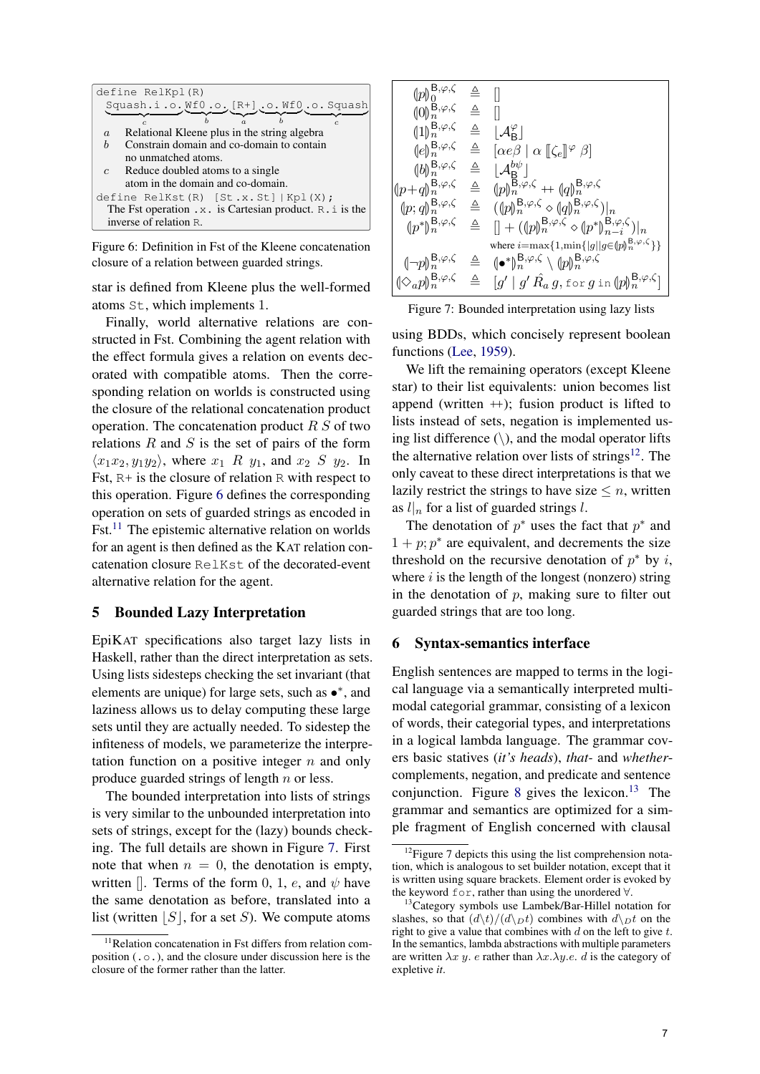<span id="page-6-2"></span>

| define RelKpl(R)                                                     |  |  |  |
|----------------------------------------------------------------------|--|--|--|
| Squash.i.o. Wf0.o. [R+].o. Wf0.o. Squash                             |  |  |  |
|                                                                      |  |  |  |
| Relational Kleene plus in the string algebra<br>$\boldsymbol{a}$     |  |  |  |
| Constrain domain and co-domain to contain<br>h                       |  |  |  |
| no unmatched atoms.                                                  |  |  |  |
| $c$ Reduce doubled atoms to a single                                 |  |  |  |
| atom in the domain and co-domain.                                    |  |  |  |
| define RelKst $(R)$ [St.x.St] $Kpl(X)$ ;                             |  |  |  |
| The Fst operation $\cdot x$ . is Cartesian product. R $\cdot$ is the |  |  |  |
| inverse of relation R.                                               |  |  |  |

Figure 6: Definition in Fst of the Kleene concatenation closure of a relation between guarded strings.

star is defined from Kleene plus the well-formed atoms St, which implements 1.

Finally, world alternative relations are constructed in Fst. Combining the agent relation with the effect formula gives a relation on events decorated with compatible atoms. Then the corresponding relation on worlds is constructed using the closure of the relational concatenation product operation. The concatenation product  $R S$  of two relations  $R$  and  $S$  is the set of pairs of the form  $\langle x_1x_2, y_1y_2 \rangle$ , where  $x_1$  R  $y_1$ , and  $x_2$  S  $y_2$ . In Fst, R+ is the closure of relation R with respect to this operation. Figure [6](#page-6-2) defines the corresponding operation on sets of guarded strings as encoded in Fst.<sup>[11](#page-6-3)</sup> The epistemic alternative relation on worlds for an agent is then defined as the KAT relation concatenation closure RelKst of the decorated-event alternative relation for the agent.

# <span id="page-6-0"></span>5 Bounded Lazy Interpretation

EpiKAT specifications also target lazy lists in Haskell, rather than the direct interpretation as sets. Using lists sidesteps checking the set invariant (that elements are unique) for large sets, such as •\*, and laziness allows us to delay computing these large sets until they are actually needed. To sidestep the infiteness of models, we parameterize the interpretation function on a positive integer  $n$  and only produce guarded strings of length n or less.

The bounded interpretation into lists of strings is very similar to the unbounded interpretation into sets of strings, except for the (lazy) bounds checking. The full details are shown in Figure [7.](#page-6-4) First note that when  $n = 0$ , the denotation is empty, written []. Terms of the form 0, 1, e, and  $\psi$  have the same denotation as before, translated into a list (written  $|S|$ , for a set S). We compute atoms

<span id="page-6-4"></span>

| $(p _0^{B,\varphi,\zeta} \triangleq$                                 |              |                                                                                                                                                                                                                                                                   |
|----------------------------------------------------------------------|--------------|-------------------------------------------------------------------------------------------------------------------------------------------------------------------------------------------------------------------------------------------------------------------|
| $(0)_{n}^{\check{B},\varphi,\zeta} \triangleq \square$               |              |                                                                                                                                                                                                                                                                   |
| $(1\vert)^{{\sf B},\varphi,\zeta}_{n}$                               | $\triangleq$ | $ \mathcal{A}_{\mathsf{B}}^{\varphi} $                                                                                                                                                                                                                            |
| $\{e\}_{n}^{\mathsf{B},\varphi,\zeta}$                               | $\triangleq$ | $[\alpha e\beta \mid \alpha \llbracket \zeta_e \rrbracket^{\varphi} \beta]$                                                                                                                                                                                       |
| $(b _n^{\mathsf{B},\varphi,\zeta})$                                  |              | $\triangleq$ $ \mathcal{A}_{\mathbf{R}}^{b\psi} $                                                                                                                                                                                                                 |
| $\langle\!\langle p\!+\!q\rangle\!\rangle_n^{{\rm B},\varphi,\zeta}$ | $\triangleq$ | $[p]_n^{\overline{\mathsf{B}},\varphi,\zeta} + [q]_n^{\overline{\mathsf{B}},\varphi,\zeta}$                                                                                                                                                                       |
| $\langle\!\!\langle p;q\rangle\!\!\rangle_n^{{\sf B},\varphi,\zeta}$ | $\triangleq$ | $((\phi_n^{\mathsf{B},\varphi,\zeta} \circ (\phi_n^{\mathsf{B},\varphi,\zeta}) _n$                                                                                                                                                                                |
| $(p^*{\upharpoonright}^{\mathsf{B},\varphi,\zeta}_{n} \triangleq$    |              | $[] + (\langle p \rangle_n^{\mathsf{B},\varphi,\zeta} \diamond \langle p^* \rangle_{n-i}^{\mathsf{B},\varphi,\zeta}) _n$                                                                                                                                          |
|                                                                      |              | where $i = \max\{1, \min\{ g  g \in (p)_n^{B, \varphi, \zeta}\}\}\$                                                                                                                                                                                               |
| $\{\neg p\}_{n}^{\mathbf{B},\varphi,\zeta} \triangleq$               |              | $(\bullet^*)_n^{\mathsf{B},\varphi,\zeta} \setminus (p)_n^{\mathsf{B},\varphi,\zeta}$                                                                                                                                                                             |
|                                                                      |              | $\begin{array}{rcl} \n\langle \diamond_{a} p \rangle^{\mathsf{B},\varphi,\zeta}_{n} & \triangleq & \n\begin{bmatrix} g' \;   \; g' \; \hat{R}_a \; g, \text{for} \; g \text{ in } \langle p \rangle^{\mathsf{B},\varphi,\zeta}_{n} \n\end{bmatrix} \n\end{array}$ |



using BDDs, which concisely represent boolean functions [\(Lee,](#page-9-25) [1959\)](#page-9-25).

We lift the remaining operators (except Kleene star) to their list equivalents: union becomes list append (written  $+$ ); fusion product is lifted to lists instead of sets, negation is implemented using list difference  $(\rangle)$ , and the modal operator lifts the alternative relation over lists of strings $12$ . The only caveat to these direct interpretations is that we lazily restrict the strings to have size  $\leq n$ , written as  $l|_n$  for a list of guarded strings l.

The denotation of  $p^*$  uses the fact that  $p^*$  and  $1 + p$ ;  $p^*$  are equivalent, and decrements the size threshold on the recursive denotation of  $p^*$  by i, where  $i$  is the length of the longest (nonzero) string in the denotation of  $p$ , making sure to filter out guarded strings that are too long.

## <span id="page-6-1"></span>6 Syntax-semantics interface

English sentences are mapped to terms in the logical language via a semantically interpreted multimodal categorial grammar, consisting of a lexicon of words, their categorial types, and interpretations in a logical lambda language. The grammar covers basic statives (*it's heads*), *that-* and *whether*complements, negation, and predicate and sentence conjunction. Figure [8](#page-7-0) gives the lexicon.<sup>[13](#page-6-6)</sup> The grammar and semantics are optimized for a simple fragment of English concerned with clausal

<span id="page-6-3"></span><sup>&</sup>lt;sup>11</sup>Relation concatenation in Fst differs from relation composition  $(0, \circ)$ , and the closure under discussion here is the closure of the former rather than the latter.

<span id="page-6-5"></span><sup>&</sup>lt;sup>12</sup>Figure 7 depicts this using the list comprehension notation, which is analogous to set builder notation, except that it is written using square brackets. Element order is evoked by the keyword for, rather than using the unordered ∀.

<span id="page-6-6"></span><sup>&</sup>lt;sup>13</sup>Category symbols use Lambek/Bar-Hillel notation for slashes, so that  $\frac{d\lambda t}{dt}$  combines with  $\frac{d\lambda_D t}{dt}$  on the right to give a value that combines with  $d$  on the left to give  $t$ . In the semantics, lambda abstractions with multiple parameters are written  $\lambda x$  y. e rather than  $\lambda x \cdot \lambda y \cdot e$ . d is the category of expletive *it*.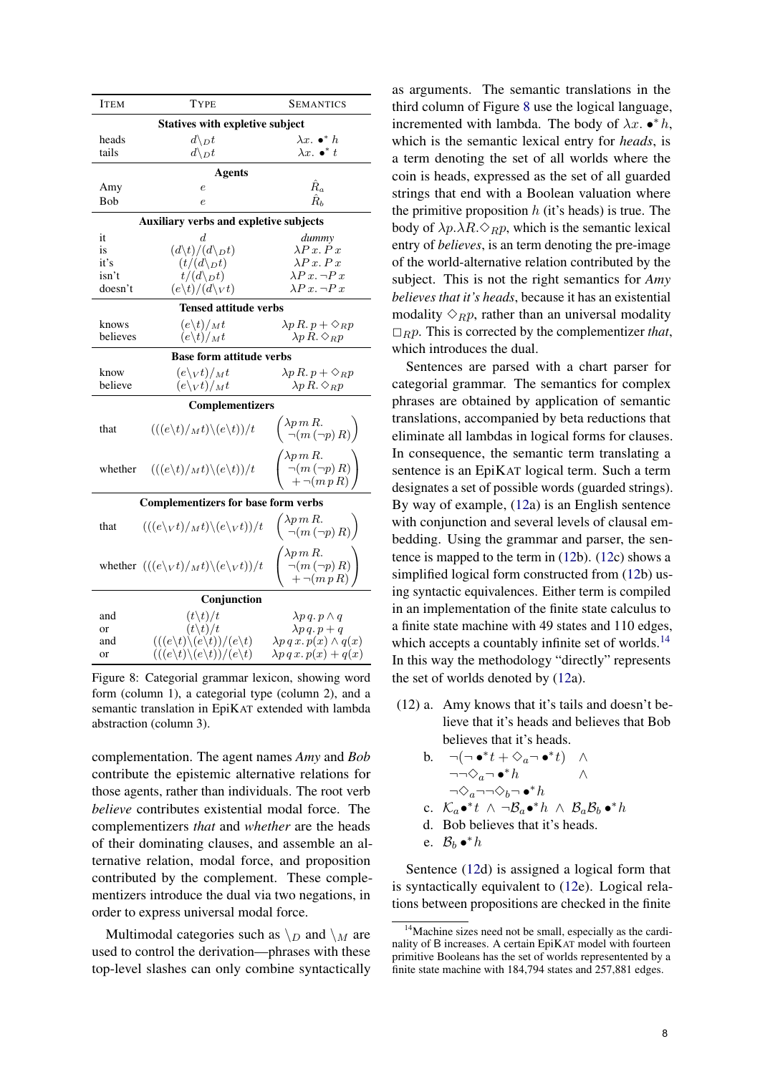<span id="page-7-0"></span>

| <b>ITEM</b>                                | <b>TYPE</b>                                                           | <b>SEMANTICS</b>                                                                                                                                     |  |  |  |
|--------------------------------------------|-----------------------------------------------------------------------|------------------------------------------------------------------------------------------------------------------------------------------------------|--|--|--|
|                                            | <b>Statives with expletive subject</b>                                |                                                                                                                                                      |  |  |  |
| heads                                      | $d\backslash_D t$                                                     | $\lambda x. \bullet^* h$                                                                                                                             |  |  |  |
| tails                                      | $d\backslash_D t$                                                     | $\lambda x.$ $\bullet^*$ $t$                                                                                                                         |  |  |  |
|                                            |                                                                       |                                                                                                                                                      |  |  |  |
|                                            | <b>Agents</b>                                                         |                                                                                                                                                      |  |  |  |
| Amy                                        | $\boldsymbol{e}$                                                      | $\hat{R}_a$                                                                                                                                          |  |  |  |
| Bob                                        | $\epsilon$                                                            | $\hat{R}_h$                                                                                                                                          |  |  |  |
|                                            | Auxiliary verbs and expletive subjects                                |                                                                                                                                                      |  |  |  |
| it                                         | d.                                                                    | dummy                                                                                                                                                |  |  |  |
| is                                         | $(d\backslash t)/(d\backslash_D t)$                                   | $\lambda P x. P x$                                                                                                                                   |  |  |  |
|                                            |                                                                       | $\lambda P x. P x$                                                                                                                                   |  |  |  |
| it's                                       | $(t/(d\backslash_D t)$                                                |                                                                                                                                                      |  |  |  |
| isn't                                      | $t/(d\backslash_D t)$                                                 | $\lambda P x$ . $\neg P x$                                                                                                                           |  |  |  |
| doesn't                                    | $(e\backslash t)/(d\backslash \nu t)$                                 | $\lambda P x$ . $\neg P x$                                                                                                                           |  |  |  |
|                                            | <b>Tensed attitude verbs</b>                                          |                                                                                                                                                      |  |  |  |
| knows                                      | $(e\backslash t)/_Mt$                                                 | $\lambda p R. p + \Diamond_R p$                                                                                                                      |  |  |  |
| believes                                   | $(e\backslash t)/_Mt$                                                 | $\lambda p R. \Diamond_R p$                                                                                                                          |  |  |  |
|                                            |                                                                       |                                                                                                                                                      |  |  |  |
|                                            | <b>Base form attitude verbs</b>                                       |                                                                                                                                                      |  |  |  |
| know                                       | $(e\backslash_V t)/_Mt$                                               | $\lambda p R. p + \Diamond_R p$                                                                                                                      |  |  |  |
| believe                                    | $(e\backslash_V t)/_Mt$                                               | $\lambda p R. \Diamond_R p$                                                                                                                          |  |  |  |
|                                            | <b>Complementizers</b>                                                |                                                                                                                                                      |  |  |  |
| that                                       | $(((e\backslash t)/_Mt)\backslash(e\backslash t))/t$                  | $\begin{pmatrix} \lambda p m R. \\ \neg (m (\neg p) R) \end{pmatrix}$                                                                                |  |  |  |
|                                            |                                                                       |                                                                                                                                                      |  |  |  |
| whether                                    | $(((e\backslash t)/_Mt)\backslash(e\backslash t))/t$                  | $\lambda p \, m \, R.$<br>$\left( \begin{array}{c} \gamma_P \text{ in } \Omega \\ \neg (m \ (\neg p) \ R) \\ + \neg (m \ p \ R) \end{array} \right)$ |  |  |  |
| <b>Complementizers for base form verbs</b> |                                                                       |                                                                                                                                                      |  |  |  |
| that                                       | $(((e\vee t)/_Mt)\vee (e\vee t))/t$                                   | $\begin{pmatrix} \lambda p m R. \\ \neg (m (\neg p) R) \end{pmatrix}$                                                                                |  |  |  |
|                                            | whether $(((e\vee v)/_Mt)\vee(e\vee v))/t$                            | $\begin{pmatrix} \lambda p m R. \\ \neg(m (\neg p) R) \\ + \neg(m p R) \end{pmatrix}$                                                                |  |  |  |
|                                            | Conjunction                                                           |                                                                                                                                                      |  |  |  |
| and                                        | $(t\backslash t)/t$                                                   | $\lambda p q. p \wedge q$                                                                                                                            |  |  |  |
| or                                         | $(t\backslash t)/t$                                                   | $\lambda p q. p + q$                                                                                                                                 |  |  |  |
|                                            |                                                                       |                                                                                                                                                      |  |  |  |
| and                                        | $(((e \backslash t) \backslash (e \backslash t)) / (e \backslash t))$ | $\lambda p q x. p(x) \wedge q(x)$                                                                                                                    |  |  |  |
| or                                         | $(((e \backslash t) \backslash (e \backslash t)) / (e \backslash t))$ | $\lambda p q x. p(x) + q(x)$                                                                                                                         |  |  |  |

Figure 8: Categorial grammar lexicon, showing word form (column 1), a categorial type (column 2), and a semantic translation in EpiKAT extended with lambda abstraction (column 3).

complementation. The agent names *Amy* and *Bob* contribute the epistemic alternative relations for those agents, rather than individuals. The root verb *believe* contributes existential modal force. The complementizers *that* and *whether* are the heads of their dominating clauses, and assemble an alternative relation, modal force, and proposition contributed by the complement. These complementizers introduce the dual via two negations, in order to express universal modal force.

Multimodal categories such as  $\setminus_D$  and  $\setminus_M$  are used to control the derivation—phrases with these top-level slashes can only combine syntactically

as arguments. The semantic translations in the third column of Figure [8](#page-7-0) use the logical language, incremented with lambda. The body of  $\lambda x$ . • \* h, which is the semantic lexical entry for *heads*, is a term denoting the set of all worlds where the coin is heads, expressed as the set of all guarded strings that end with a Boolean valuation where the primitive proposition  $h$  (it's heads) is true. The body of  $\lambda p.\lambda R.\Diamond_R p$ , which is the semantic lexical entry of *believes*, is an term denoting the pre-image of the world-alternative relation contributed by the subject. This is not the right semantics for *Amy believes that it's heads*, because it has an existential modality  $\Diamond_R p$ , rather than an universal modality  $\Box_R p$ . This is corrected by the complementizer *that*, which introduces the dual.

Sentences are parsed with a chart parser for categorial grammar. The semantics for complex phrases are obtained by application of semantic translations, accompanied by beta reductions that eliminate all lambdas in logical forms for clauses. In consequence, the semantic term translating a sentence is an EpiKAT logical term. Such a term designates a set of possible words (guarded strings). By way of example, [\(12a](#page-7-1)) is an English sentence with conjunction and several levels of clausal embedding. Using the grammar and parser, the sentence is mapped to the term in [\(12b](#page-7-1)). [\(12c](#page-7-1)) shows a simplified logical form constructed from [\(12b](#page-7-1)) using syntactic equivalences. Either term is compiled in an implementation of the finite state calculus to a finite state machine with 49 states and 110 edges, which accepts a countably infinite set of worlds.<sup>[14](#page-7-2)</sup> In this way the methodology "directly" represents the set of worlds denoted by [\(12a](#page-7-1)).

- <span id="page-7-1"></span>(12) a. Amy knows that it's tails and doesn't believe that it's heads and believes that Bob believes that it's heads.
	- b.  $\neg(\neg \bullet^* t + \Diamond_a \neg \bullet^* t)$   $\wedge$  $\neg\neg \Diamond_0 \neg \bullet^* h$  ∧  $\neg \Diamond_a \neg \neg \Diamond_b \neg \bullet^* h$ c.  $\mathcal{K}_a \bullet^* t \land \neg \mathcal{B}_a \bullet^* h \land \mathcal{B}_a \mathcal{B}_b \bullet^* h$ d. Bob believes that it's heads.
		-
	- e.  $\mathcal{B}_b \bullet^* h$

Sentence [\(12d](#page-7-1)) is assigned a logical form that is syntactically equivalent to [\(12e](#page-7-1)). Logical relations between propositions are checked in the finite

<span id="page-7-2"></span><sup>&</sup>lt;sup>14</sup>Machine sizes need not be small, especially as the cardinality of B increases. A certain EpiKAT model with fourteen primitive Booleans has the set of worlds representented by a finite state machine with 184,794 states and 257,881 edges.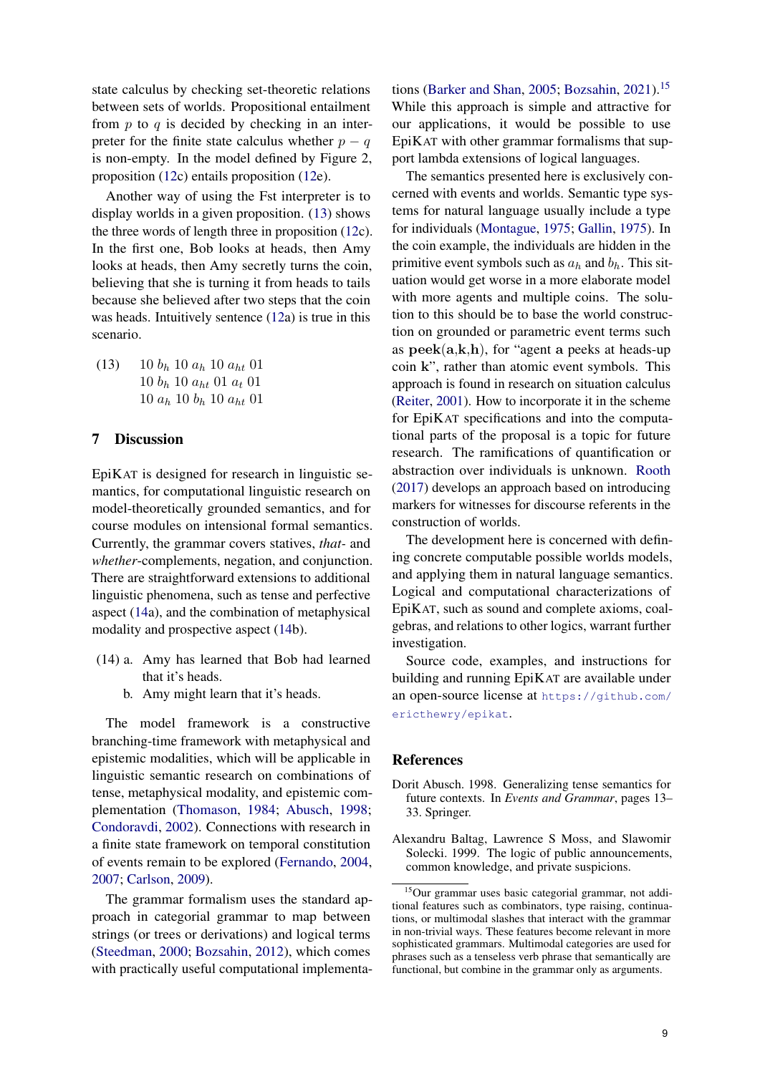state calculus by checking set-theoretic relations between sets of worlds. Propositional entailment from  $p$  to  $q$  is decided by checking in an interpreter for the finite state calculus whether  $p - q$ is non-empty. In the model defined by Figure 2, proposition [\(12c](#page-7-1)) entails proposition [\(12e](#page-7-1)).

Another way of using the Fst interpreter is to display worlds in a given proposition. [\(13\)](#page-8-1) shows the three words of length three in proposition [\(12c](#page-7-1)). In the first one, Bob looks at heads, then Amy looks at heads, then Amy secretly turns the coin, believing that she is turning it from heads to tails because she believed after two steps that the coin was heads. Intuitively sentence [\(12a](#page-7-1)) is true in this scenario.

<span id="page-8-1"></span>(13) 10  $b_h$  10  $a_h$  10  $a_{ht}$  01 10 b<sup>h</sup> 10 aht 01 a<sup>t</sup> 01  $10 a_h 10 b_h 10 a_{ht} 01$ 

# 7 Discussion

EpiKAT is designed for research in linguistic semantics, for computational linguistic research on model-theoretically grounded semantics, and for course modules on intensional formal semantics. Currently, the grammar covers statives, *that-* and *whether*-complements, negation, and conjunction. There are straightforward extensions to additional linguistic phenomena, such as tense and perfective aspect [\(14a](#page-8-2)), and the combination of metaphysical modality and prospective aspect [\(14b](#page-8-2)).

- <span id="page-8-2"></span>(14) a. Amy has learned that Bob had learned that it's heads.
	- b. Amy might learn that it's heads.

The model framework is a constructive branching-time framework with metaphysical and epistemic modalities, which will be applicable in linguistic semantic research on combinations of tense, metaphysical modality, and epistemic complementation [\(Thomason,](#page-9-26) [1984;](#page-9-26) [Abusch,](#page-8-3) [1998;](#page-8-3) [Condoravdi,](#page-9-27) [2002\)](#page-9-27). Connections with research in a finite state framework on temporal constitution of events remain to be explored [\(Fernando,](#page-9-6) [2004,](#page-9-6) [2007;](#page-9-7) [Carlson,](#page-9-8) [2009\)](#page-9-8).

The grammar formalism uses the standard approach in categorial grammar to map between strings (or trees or derivations) and logical terms [\(Steedman,](#page-9-28) [2000;](#page-9-28) [Bozsahin,](#page-9-29) [2012\)](#page-9-29), which comes with practically useful computational implementa-

tions [\(Barker and Shan,](#page-9-30) [2005;](#page-9-30) [Bozsahin,](#page-9-31) [2021\)](#page-9-31).<sup>[15](#page-8-4)</sup> While this approach is simple and attractive for our applications, it would be possible to use EpiKAT with other grammar formalisms that support lambda extensions of logical languages.

The semantics presented here is exclusively concerned with events and worlds. Semantic type systems for natural language usually include a type for individuals [\(Montague,](#page-9-32) [1975;](#page-9-32) [Gallin,](#page-9-33) [1975\)](#page-9-33). In the coin example, the individuals are hidden in the primitive event symbols such as  $a_h$  and  $b_h$ . This situation would get worse in a more elaborate model with more agents and multiple coins. The solution to this should be to base the world construction on grounded or parametric event terms such as  $\mathbf{peek}(\mathbf{a}, \mathbf{k}, \mathbf{h})$ , for "agent a peeks at heads-up" coin k", rather than atomic event symbols. This approach is found in research on situation calculus [\(Reiter,](#page-9-5) [2001\)](#page-9-5). How to incorporate it in the scheme for EpiKAT specifications and into the computational parts of the proposal is a topic for future research. The ramifications of quantification or abstraction over individuals is unknown. [Rooth](#page-9-10) [\(2017\)](#page-9-10) develops an approach based on introducing markers for witnesses for discourse referents in the construction of worlds.

The development here is concerned with defining concrete computable possible worlds models, and applying them in natural language semantics. Logical and computational characterizations of EpiKAT, such as sound and complete axioms, coalgebras, and relations to other logics, warrant further investigation.

Source code, examples, and instructions for building and running EpiKAT are available under an open-source license at [https://github.com/](https://github.com/ericthewry/epikat) [ericthewry/epikat](https://github.com/ericthewry/epikat).

### References

- <span id="page-8-3"></span>Dorit Abusch. 1998. Generalizing tense semantics for future contexts. In *Events and Grammar*, pages 13– 33. Springer.
- <span id="page-8-0"></span>Alexandru Baltag, Lawrence S Moss, and Slawomir Solecki. 1999. The logic of public announcements, common knowledge, and private suspicions.

<span id="page-8-4"></span><sup>15</sup>Our grammar uses basic categorial grammar, not additional features such as combinators, type raising, continuations, or multimodal slashes that interact with the grammar in non-trivial ways. These features become relevant in more sophisticated grammars. Multimodal categories are used for phrases such as a tenseless verb phrase that semantically are functional, but combine in the grammar only as arguments.